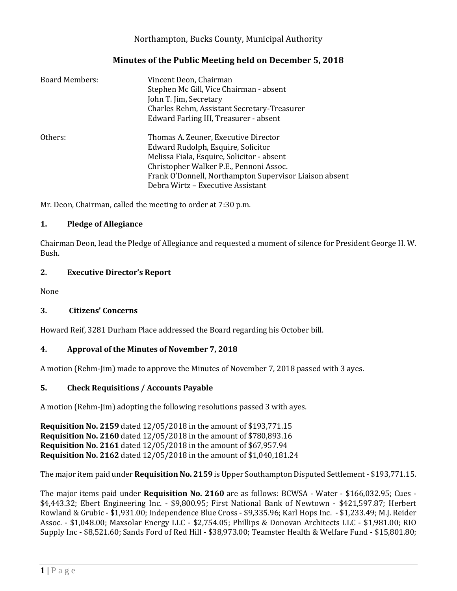# Northampton, Bucks County, Municipal Authority

## **Minutes of the Public Meeting held on December 5, 2018**

| Board Members: | Vincent Deon, Chairman<br>Stephen Mc Gill, Vice Chairman - absent<br>John T. Jim, Secretary<br>Charles Rehm, Assistant Secretary-Treasurer<br>Edward Farling III, Treasurer - absent                                                                               |
|----------------|--------------------------------------------------------------------------------------------------------------------------------------------------------------------------------------------------------------------------------------------------------------------|
| Others:        | Thomas A. Zeuner, Executive Director<br>Edward Rudolph, Esquire, Solicitor<br>Melissa Fiala, Esquire, Solicitor - absent<br>Christopher Walker P.E., Pennoni Assoc.<br>Frank O'Donnell, Northampton Supervisor Liaison absent<br>Debra Wirtz - Executive Assistant |

Mr. Deon, Chairman, called the meeting to order at 7:30 p.m.

#### **1. Pledge of Allegiance**

Chairman Deon, lead the Pledge of Allegiance and requested a moment of silence for President George H. W. Bush.

#### **2. Executive Director's Report**

None

### **3. Citizens' Concerns**

Howard Reif, 3281 Durham Place addressed the Board regarding his October bill.

### **4. Approval of the Minutes of November 7, 2018**

A motion (Rehm-Jim) made to approve the Minutes of November 7, 2018 passed with 3 ayes.

### **5. Check Requisitions / Accounts Payable**

A motion (Rehm-Jim) adopting the following resolutions passed 3 with ayes.

**Requisition No. 2159** dated 12/05/2018 in the amount of \$193,771.15 **Requisition No. 2160** dated 12/05/2018 in the amount of \$780,893.16 **Requisition No. 2161** dated 12/05/2018 in the amount of \$67,957.94 **Requisition No. 2162** dated 12/05/2018 in the amount of \$1,040,181.24

The major item paid under **Requisition No. 2159** is Upper Southampton Disputed Settlement - \$193,771.15.

The major items paid under **Requisition No. 2160** are as follows: BCWSA - Water - \$166,032.95; Cues - \$4,443.32; Ebert Engineering Inc. - \$9,800.95; First National Bank of Newtown - \$421,597.87; Herbert Rowland & Grubic - \$1,931.00; Independence Blue Cross - \$9,335.96; Karl Hops Inc. - \$1,233.49; M.J. Reider Assoc. - \$1,048.00; Maxsolar Energy LLC - \$2,754.05; Phillips & Donovan Architects LLC - \$1,981.00; RIO Supply Inc - \$8,521.60; Sands Ford of Red Hill - \$38,973.00; Teamster Health & Welfare Fund - \$15,801.80;